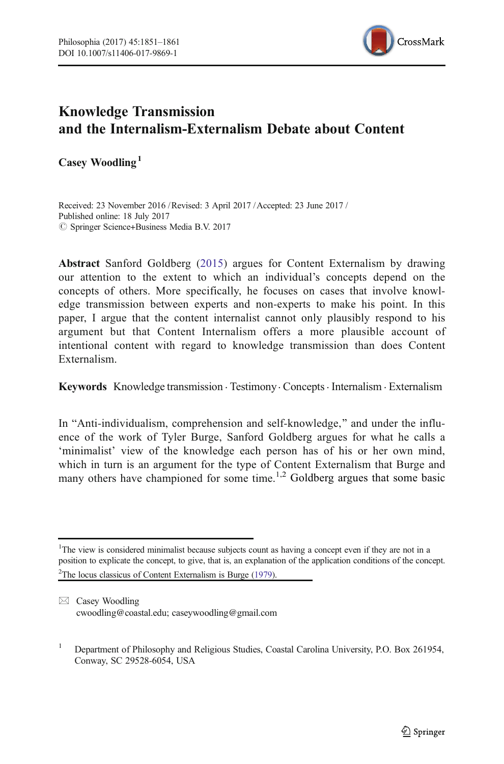

# Knowledge Transmission and the Internalism-Externalism Debate about Content

Casey Woodling<sup>1</sup>

Received: 23 November 2016 /Revised: 3 April 2017 /Accepted: 23 June 2017 / Published online: 18 July 2017  $\oslash$  Springer Science+Business Media B.V. 2017

Abstract Sanford Goldberg ([2015](#page-10-0)) argues for Content Externalism by drawing our attention to the extent to which an individual's concepts depend on the concepts of others. More specifically, he focuses on cases that involve knowledge transmission between experts and non-experts to make his point. In this paper, I argue that the content internalist cannot only plausibly respond to his argument but that Content Internalism offers a more plausible account of intentional content with regard to knowledge transmission than does Content Externalism.

Keywords Knowledge transmission . Testimony. Concepts. Internalism . Externalism

In "Anti-individualism, comprehension and self-knowledge," and under the influence of the work of Tyler Burge, Sanford Goldberg argues for what he calls a 'minimalist' view of the knowledge each person has of his or her own mind, which in turn is an argument for the type of Content Externalism that Burge and many others have championed for some time.<sup>1,2</sup> Goldberg argues that some basic

<sup>&</sup>lt;sup>1</sup>The view is considered minimalist because subjects count as having a concept even if they are not in a position to explicate the concept, to give, that is, an explanation of the application conditions of the concept. <sup>2</sup>The locus classicus of Content Externalism is Burge ([1979](#page-10-0)).

 $\boxtimes$  Casey Woodling [cwoodling@coastal.edu; caseywoodling@gmail.com](mailto:caseywoodling@gmail.com)

<sup>&</sup>lt;sup>1</sup> Department of Philosophy and Religious Studies, Coastal Carolina University, P.O. Box 261954, Conway, SC 29528-6054, USA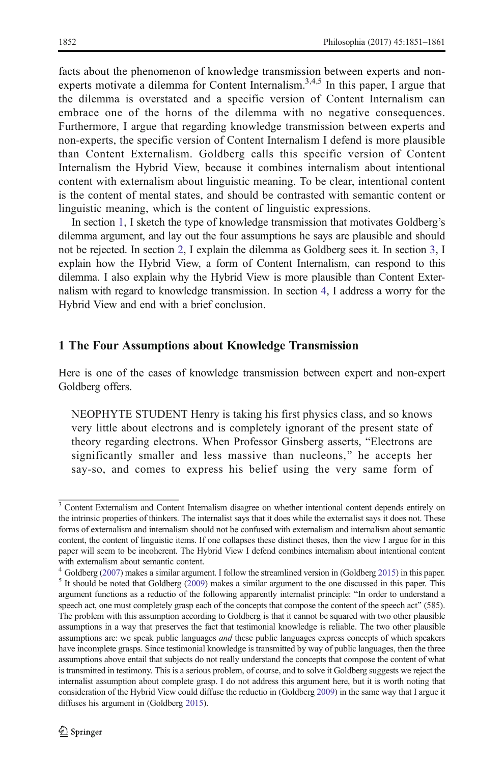facts about the phenomenon of knowledge transmission between experts and nonexperts motivate a dilemma for Content Internalism.<sup>3,4,5</sup> In this paper, I argue that the dilemma is overstated and a specific version of Content Internalism can embrace one of the horns of the dilemma with no negative consequences. Furthermore, I argue that regarding knowledge transmission between experts and non-experts, the specific version of Content Internalism I defend is more plausible than Content Externalism. Goldberg calls this specific version of Content Internalism the Hybrid View, because it combines internalism about intentional content with externalism about linguistic meaning. To be clear, intentional content is the content of mental states, and should be contrasted with semantic content or linguistic meaning, which is the content of linguistic expressions.

In section 1, I sketch the type of knowledge transmission that motivates Goldberg's dilemma argument, and lay out the four assumptions he says are plausible and should not be rejected. In section [2,](#page-2-0) I explain the dilemma as Goldberg sees it. In section [3,](#page-4-0) I explain how the Hybrid View, a form of Content Internalism, can respond to this dilemma. I also explain why the Hybrid View is more plausible than Content Externalism with regard to knowledge transmission. In section [4,](#page-9-0) I address a worry for the Hybrid View and end with a brief conclusion.

#### 1 The Four Assumptions about Knowledge Transmission

Here is one of the cases of knowledge transmission between expert and non-expert Goldberg offers.

NEOPHYTE STUDENT Henry is taking his first physics class, and so knows very little about electrons and is completely ignorant of the present state of theory regarding electrons. When Professor Ginsberg asserts, "Electrons are significantly smaller and less massive than nucleons," he accepts her say-so, and comes to express his belief using the very same form of

<sup>&</sup>lt;sup>3</sup> Content Externalism and Content Internalism disagree on whether intentional content depends entirely on the intrinsic properties of thinkers. The internalist says that it does while the externalist says it does not. These forms of externalism and internalism should not be confused with externalism and internalism about semantic content, the content of linguistic items. If one collapses these distinct theses, then the view I argue for in this paper will seem to be incoherent. The Hybrid View I defend combines internalism about intentional content with externalism about semantic content.

 $4$  Goldberg [\(2007\)](#page-10-0) makes a similar argument. I follow the streamlined version in (Goldberg [2015](#page-10-0)) in this paper.  $5$  It should be noted that Goldberg [\(2009\)](#page-10-0) makes a similar argument to the one discussed in this paper. Thi argument functions as a reductio of the following apparently internalist principle: "In order to understand a speech act, one must completely grasp each of the concepts that compose the content of the speech act" (585). The problem with this assumption according to Goldberg is that it cannot be squared with two other plausible assumptions in a way that preserves the fact that testimonial knowledge is reliable. The two other plausible assumptions are: we speak public languages *and* these public languages express concepts of which speakers have incomplete grasps. Since testimonial knowledge is transmitted by way of public languages, then the three assumptions above entail that subjects do not really understand the concepts that compose the content of what is transmitted in testimony. This is a serious problem, of course, and to solve it Goldberg suggests we reject the internalist assumption about complete grasp. I do not address this argument here, but it is worth noting that consideration of the Hybrid View could diffuse the reductio in (Goldberg [2009\)](#page-10-0) in the same way that I argue it diffuses his argument in (Goldberg [2015\)](#page-10-0).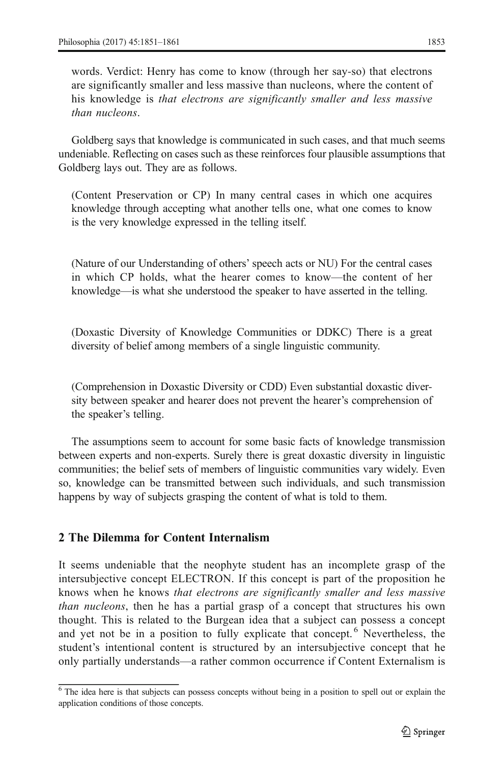<span id="page-2-0"></span>words. Verdict: Henry has come to know (through her say-so) that electrons are significantly smaller and less massive than nucleons, where the content of his knowledge is that electrons are significantly smaller and less massive than nucleons.

Goldberg says that knowledge is communicated in such cases, and that much seems undeniable. Reflecting on cases such as these reinforces four plausible assumptions that Goldberg lays out. They are as follows.

(Content Preservation or CP) In many central cases in which one acquires knowledge through accepting what another tells one, what one comes to know is the very knowledge expressed in the telling itself.

(Nature of our Understanding of others' speech acts or NU) For the central cases in which CP holds, what the hearer comes to know—the content of her knowledge—is what she understood the speaker to have asserted in the telling.

(Doxastic Diversity of Knowledge Communities or DDKC) There is a great diversity of belief among members of a single linguistic community.

(Comprehension in Doxastic Diversity or CDD) Even substantial doxastic diversity between speaker and hearer does not prevent the hearer's comprehension of the speaker's telling.

The assumptions seem to account for some basic facts of knowledge transmission between experts and non-experts. Surely there is great doxastic diversity in linguistic communities; the belief sets of members of linguistic communities vary widely. Even so, knowledge can be transmitted between such individuals, and such transmission happens by way of subjects grasping the content of what is told to them.

### 2 The Dilemma for Content Internalism

It seems undeniable that the neophyte student has an incomplete grasp of the intersubjective concept ELECTRON. If this concept is part of the proposition he knows when he knows that electrons are significantly smaller and less massive than nucleons, then he has a partial grasp of a concept that structures his own thought. This is related to the Burgean idea that a subject can possess a concept and yet not be in a position to fully explicate that concept.<sup>6</sup> Nevertheless, the student's intentional content is structured by an intersubjective concept that he only partially understands—a rather common occurrence if Content Externalism is

<sup>&</sup>lt;sup>6</sup> The idea here is that subjects can possess concepts without being in a position to spell out or explain the application conditions of those concepts.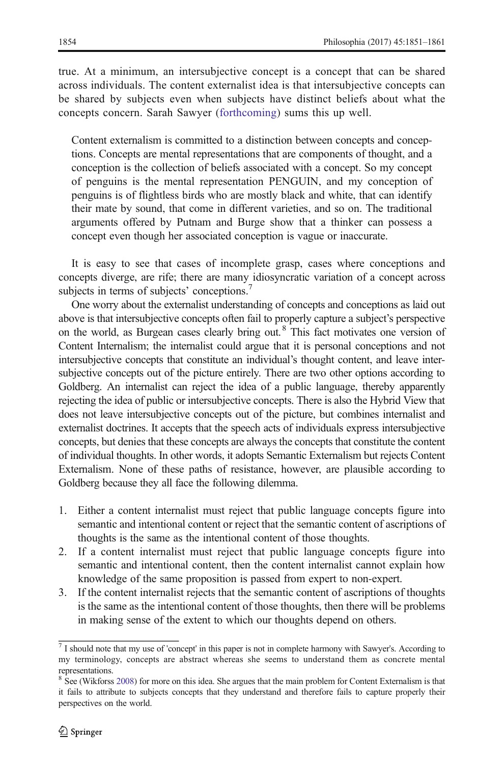true. At a minimum, an intersubjective concept is a concept that can be shared across individuals. The content externalist idea is that intersubjective concepts can be shared by subjects even when subjects have distinct beliefs about what the concepts concern. Sarah Sawyer ([forthcoming](#page-10-0)) sums this up well.

Content externalism is committed to a distinction between concepts and conceptions. Concepts are mental representations that are components of thought, and a conception is the collection of beliefs associated with a concept. So my concept of penguins is the mental representation PENGUIN, and my conception of penguins is of flightless birds who are mostly black and white, that can identify their mate by sound, that come in different varieties, and so on. The traditional arguments offered by Putnam and Burge show that a thinker can possess a concept even though her associated conception is vague or inaccurate.

It is easy to see that cases of incomplete grasp, cases where conceptions and concepts diverge, are rife; there are many idiosyncratic variation of a concept across subjects in terms of subjects' conceptions.<sup>7</sup>

One worry about the externalist understanding of concepts and conceptions as laid out above is that intersubjective concepts often fail to properly capture a subject's perspective on the world, as Burgean cases clearly bring out.<sup>8</sup> This fact motivates one version of Content Internalism; the internalist could argue that it is personal conceptions and not intersubjective concepts that constitute an individual's thought content, and leave intersubjective concepts out of the picture entirely. There are two other options according to Goldberg. An internalist can reject the idea of a public language, thereby apparently rejecting the idea of public or intersubjective concepts. There is also the Hybrid View that does not leave intersubjective concepts out of the picture, but combines internalist and externalist doctrines. It accepts that the speech acts of individuals express intersubjective concepts, but denies that these concepts are always the concepts that constitute the content of individual thoughts. In other words, it adopts Semantic Externalism but rejects Content Externalism. None of these paths of resistance, however, are plausible according to Goldberg because they all face the following dilemma.

- 1. Either a content internalist must reject that public language concepts figure into semantic and intentional content or reject that the semantic content of ascriptions of thoughts is the same as the intentional content of those thoughts.
- 2. If a content internalist must reject that public language concepts figure into semantic and intentional content, then the content internalist cannot explain how knowledge of the same proposition is passed from expert to non-expert.
- 3. If the content internalist rejects that the semantic content of ascriptions of thoughts is the same as the intentional content of those thoughts, then there will be problems in making sense of the extent to which our thoughts depend on others.

 $7$  I should note that my use of 'concept' in this paper is not in complete harmony with Sawyer's. According to my terminology, concepts are abstract whereas she seems to understand them as concrete mental representations.

<sup>&</sup>lt;sup>8</sup> See (Wikforss [2008](#page-10-0)) for more on this idea. She argues that the main problem for Content Externalism is that it fails to attribute to subjects concepts that they understand and therefore fails to capture properly their perspectives on the world.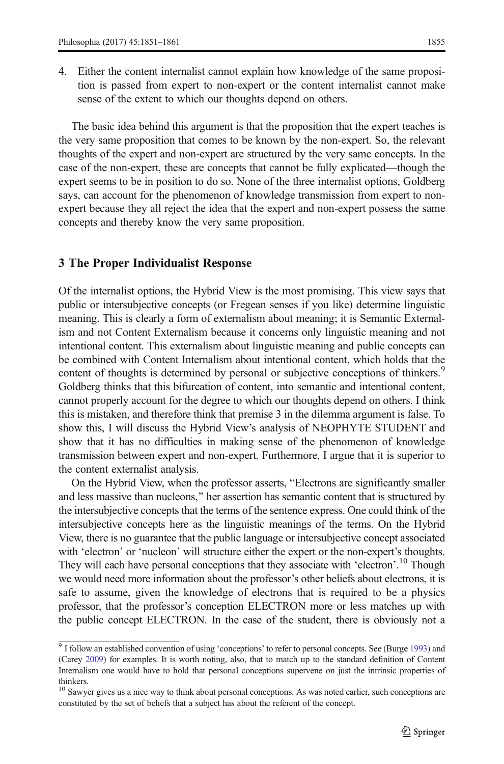<span id="page-4-0"></span>4. Either the content internalist cannot explain how knowledge of the same proposition is passed from expert to non-expert or the content internalist cannot make sense of the extent to which our thoughts depend on others.

The basic idea behind this argument is that the proposition that the expert teaches is the very same proposition that comes to be known by the non-expert. So, the relevant thoughts of the expert and non-expert are structured by the very same concepts. In the case of the non-expert, these are concepts that cannot be fully explicated—though the expert seems to be in position to do so. None of the three internalist options, Goldberg says, can account for the phenomenon of knowledge transmission from expert to nonexpert because they all reject the idea that the expert and non-expert possess the same concepts and thereby know the very same proposition.

#### 3 The Proper Individualist Response

Of the internalist options, the Hybrid View is the most promising. This view says that public or intersubjective concepts (or Fregean senses if you like) determine linguistic meaning. This is clearly a form of externalism about meaning; it is Semantic Externalism and not Content Externalism because it concerns only linguistic meaning and not intentional content. This externalism about linguistic meaning and public concepts can be combined with Content Internalism about intentional content, which holds that the content of thoughts is determined by personal or subjective conceptions of thinkers.<sup>9</sup> Goldberg thinks that this bifurcation of content, into semantic and intentional content, cannot properly account for the degree to which our thoughts depend on others. I think this is mistaken, and therefore think that premise 3 in the dilemma argument is false. To show this, I will discuss the Hybrid View's analysis of NEOPHYTE STUDENT and show that it has no difficulties in making sense of the phenomenon of knowledge transmission between expert and non-expert. Furthermore, I argue that it is superior to the content externalist analysis.

On the Hybrid View, when the professor asserts, "Electrons are significantly smaller and less massive than nucleons," her assertion has semantic content that is structured by the intersubjective concepts that the terms of the sentence express. One could think of the intersubjective concepts here as the linguistic meanings of the terms. On the Hybrid View, there is no guarantee that the public language or intersubjective concept associated with 'electron' or 'nucleon' will structure either the expert or the non-expert's thoughts. They will each have personal conceptions that they associate with 'electron'.<sup>10</sup> Though we would need more information about the professor's other beliefs about electrons, it is safe to assume, given the knowledge of electrons that is required to be a physics professor, that the professor's conception ELECTRON more or less matches up with the public concept ELECTRON. In the case of the student, there is obviously not a

<sup>&</sup>lt;sup>9</sup> I follow an established convention of using 'conceptions' to refer to personal concepts. See (Burge [1993\)](#page-10-0) and (Carey [2009](#page-10-0)) for examples. It is worth noting, also, that to match up to the standard definition of Content Internalism one would have to hold that personal conceptions supervene on just the intrinsic properties of thinkers.

<sup>&</sup>lt;sup>10</sup> Sawyer gives us a nice way to think about personal conceptions. As was noted earlier, such conceptions are constituted by the set of beliefs that a subject has about the referent of the concept.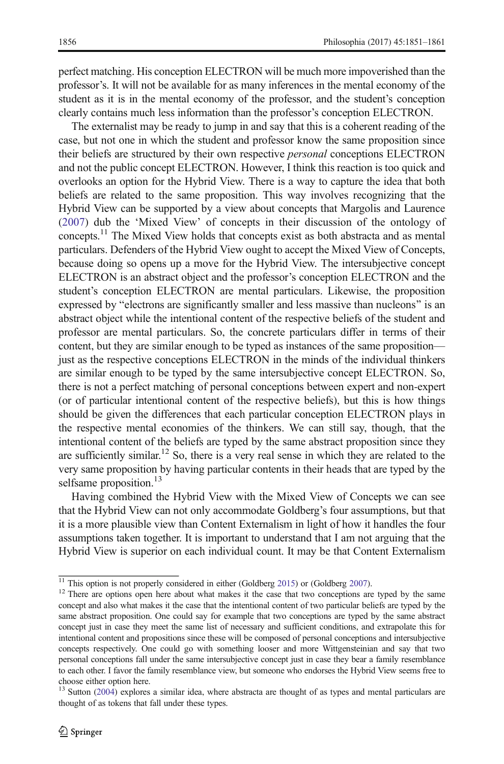perfect matching. His conception ELECTRON will be much more impoverished than the professor's. It will not be available for as many inferences in the mental economy of the student as it is in the mental economy of the professor, and the student's conception clearly contains much less information than the professor's conception ELECTRON.

The externalist may be ready to jump in and say that this is a coherent reading of the case, but not one in which the student and professor know the same proposition since their beliefs are structured by their own respective *personal* conceptions ELECTRON and not the public concept ELECTRON. However, I think this reaction is too quick and overlooks an option for the Hybrid View. There is a way to capture the idea that both beliefs are related to the same proposition. This way involves recognizing that the Hybrid View can be supported by a view about concepts that Margolis and Laurence [\(2007](#page-10-0)) dub the 'Mixed View' of concepts in their discussion of the ontology of concepts.11 The Mixed View holds that concepts exist as both abstracta and as mental particulars. Defenders of the Hybrid View ought to accept the Mixed View of Concepts, because doing so opens up a move for the Hybrid View. The intersubjective concept ELECTRON is an abstract object and the professor's conception ELECTRON and the student's conception ELECTRON are mental particulars. Likewise, the proposition expressed by "electrons are significantly smaller and less massive than nucleons" is an abstract object while the intentional content of the respective beliefs of the student and professor are mental particulars. So, the concrete particulars differ in terms of their content, but they are similar enough to be typed as instances of the same proposition just as the respective conceptions ELECTRON in the minds of the individual thinkers are similar enough to be typed by the same intersubjective concept ELECTRON. So, there is not a perfect matching of personal conceptions between expert and non-expert (or of particular intentional content of the respective beliefs), but this is how things should be given the differences that each particular conception ELECTRON plays in the respective mental economies of the thinkers. We can still say, though, that the intentional content of the beliefs are typed by the same abstract proposition since they are sufficiently similar.<sup>12</sup> So, there is a very real sense in which they are related to the very same proposition by having particular contents in their heads that are typed by the selfsame proposition.<sup>13</sup>

Having combined the Hybrid View with the Mixed View of Concepts we can see that the Hybrid View can not only accommodate Goldberg's four assumptions, but that it is a more plausible view than Content Externalism in light of how it handles the four assumptions taken together. It is important to understand that I am not arguing that the Hybrid View is superior on each individual count. It may be that Content Externalism

<sup>&</sup>lt;sup>11</sup> This option is not properly considered in either (Goldberg [2015](#page-10-0)) or (Goldberg [2007](#page-10-0)).<br><sup>12</sup> There are options open here about what makes it the case that two conceptions are typed by the same concept and also what makes it the case that the intentional content of two particular beliefs are typed by the same abstract proposition. One could say for example that two conceptions are typed by the same abstract concept just in case they meet the same list of necessary and sufficient conditions, and extrapolate this for intentional content and propositions since these will be composed of personal conceptions and intersubjective concepts respectively. One could go with something looser and more Wittgensteinian and say that two personal conceptions fall under the same intersubjective concept just in case they bear a family resemblance to each other. I favor the family resemblance view, but someone who endorses the Hybrid View seems free to choose either option here.

<sup>&</sup>lt;sup>13</sup> Sutton [\(2004\)](#page-10-0) explores a similar idea, where abstracta are thought of as types and mental particulars are thought of as tokens that fall under these types.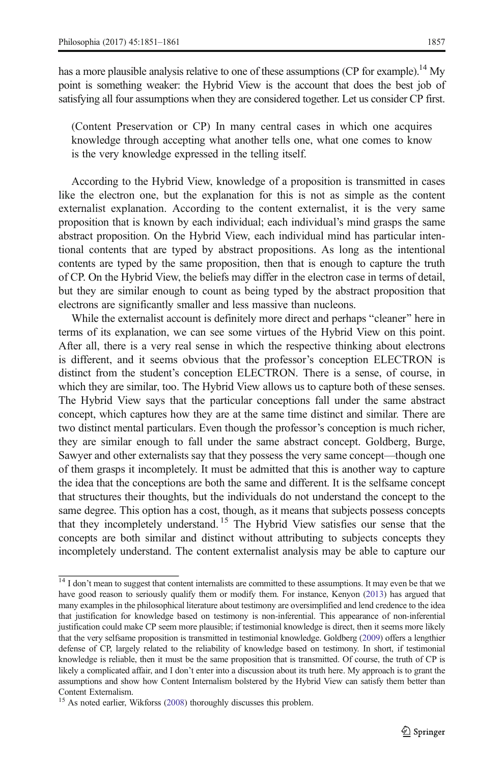has a more plausible analysis relative to one of these assumptions (CP for example).<sup>14</sup> My point is something weaker: the Hybrid View is the account that does the best job of satisfying all four assumptions when they are considered together. Let us consider CP first.

(Content Preservation or CP) In many central cases in which one acquires knowledge through accepting what another tells one, what one comes to know is the very knowledge expressed in the telling itself.

According to the Hybrid View, knowledge of a proposition is transmitted in cases like the electron one, but the explanation for this is not as simple as the content externalist explanation. According to the content externalist, it is the very same proposition that is known by each individual; each individual's mind grasps the same abstract proposition. On the Hybrid View, each individual mind has particular intentional contents that are typed by abstract propositions. As long as the intentional contents are typed by the same proposition, then that is enough to capture the truth of CP. On the Hybrid View, the beliefs may differ in the electron case in terms of detail, but they are similar enough to count as being typed by the abstract proposition that electrons are significantly smaller and less massive than nucleons.

While the externalist account is definitely more direct and perhaps "cleaner" here in terms of its explanation, we can see some virtues of the Hybrid View on this point. After all, there is a very real sense in which the respective thinking about electrons is different, and it seems obvious that the professor's conception ELECTRON is distinct from the student's conception ELECTRON. There is a sense, of course, in which they are similar, too. The Hybrid View allows us to capture both of these senses. The Hybrid View says that the particular conceptions fall under the same abstract concept, which captures how they are at the same time distinct and similar. There are two distinct mental particulars. Even though the professor's conception is much richer, they are similar enough to fall under the same abstract concept. Goldberg, Burge, Sawyer and other externalists say that they possess the very same concept—though one of them grasps it incompletely. It must be admitted that this is another way to capture the idea that the conceptions are both the same and different. It is the selfsame concept that structures their thoughts, but the individuals do not understand the concept to the same degree. This option has a cost, though, as it means that subjects possess concepts that they incompletely understand. <sup>15</sup> The Hybrid View satisfies our sense that the concepts are both similar and distinct without attributing to subjects concepts they incompletely understand. The content externalist analysis may be able to capture our

<sup>&</sup>lt;sup>14</sup> I don't mean to suggest that content internalists are committed to these assumptions. It may even be that we have good reason to seriously qualify them or modify them. For instance, Kenyon [\(2013\)](#page-10-0) has argued that many examples in the philosophical literature about testimony are oversimplified and lend credence to the idea that justification for knowledge based on testimony is non-inferential. This appearance of non-inferential justification could make CP seem more plausible; if testimonial knowledge is direct, then it seems more likely that the very selfsame proposition is transmitted in testimonial knowledge. Goldberg [\(2009](#page-10-0)) offers a lengthier defense of CP, largely related to the reliability of knowledge based on testimony. In short, if testimonial knowledge is reliable, then it must be the same proposition that is transmitted. Of course, the truth of CP is likely a complicated affair, and I don't enter into a discussion about its truth here. My approach is to grant the assumptions and show how Content Internalism bolstered by the Hybrid View can satisfy them better than Content Externalism.

<sup>&</sup>lt;sup>15</sup> As noted earlier, Wikforss [\(2008\)](#page-10-0) thoroughly discusses this problem.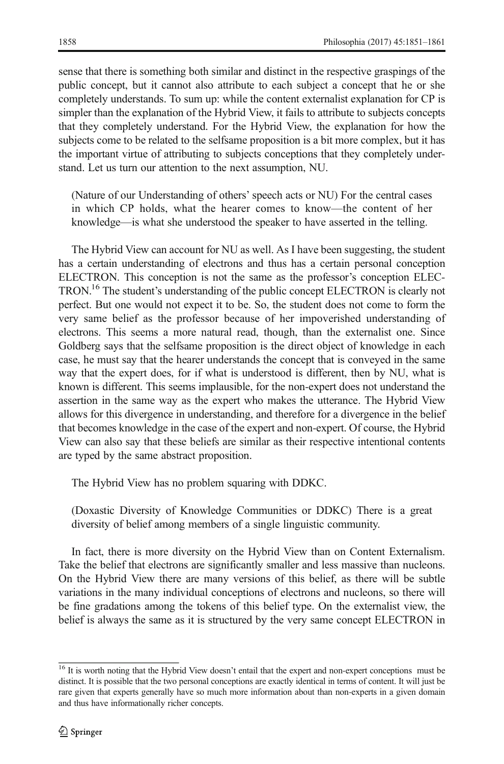sense that there is something both similar and distinct in the respective graspings of the public concept, but it cannot also attribute to each subject a concept that he or she completely understands. To sum up: while the content externalist explanation for CP is simpler than the explanation of the Hybrid View, it fails to attribute to subjects concepts that they completely understand. For the Hybrid View, the explanation for how the subjects come to be related to the selfsame proposition is a bit more complex, but it has the important virtue of attributing to subjects conceptions that they completely understand. Let us turn our attention to the next assumption, NU.

(Nature of our Understanding of others' speech acts or NU) For the central cases in which CP holds, what the hearer comes to know—the content of her knowledge—is what she understood the speaker to have asserted in the telling.

The Hybrid View can account for NU as well. As I have been suggesting, the student has a certain understanding of electrons and thus has a certain personal conception ELECTRON. This conception is not the same as the professor's conception ELEC-TRON.16 The student's understanding of the public concept ELECTRON is clearly not perfect. But one would not expect it to be. So, the student does not come to form the very same belief as the professor because of her impoverished understanding of electrons. This seems a more natural read, though, than the externalist one. Since Goldberg says that the selfsame proposition is the direct object of knowledge in each case, he must say that the hearer understands the concept that is conveyed in the same way that the expert does, for if what is understood is different, then by NU, what is known is different. This seems implausible, for the non-expert does not understand the assertion in the same way as the expert who makes the utterance. The Hybrid View allows for this divergence in understanding, and therefore for a divergence in the belief that becomes knowledge in the case of the expert and non-expert. Of course, the Hybrid View can also say that these beliefs are similar as their respective intentional contents are typed by the same abstract proposition.

The Hybrid View has no problem squaring with DDKC.

(Doxastic Diversity of Knowledge Communities or DDKC) There is a great diversity of belief among members of a single linguistic community.

In fact, there is more diversity on the Hybrid View than on Content Externalism. Take the belief that electrons are significantly smaller and less massive than nucleons. On the Hybrid View there are many versions of this belief, as there will be subtle variations in the many individual conceptions of electrons and nucleons, so there will be fine gradations among the tokens of this belief type. On the externalist view, the belief is always the same as it is structured by the very same concept ELECTRON in

<sup>16</sup> It is worth noting that the Hybrid View doesn't entail that the expert and non-expert conceptions must be distinct. It is possible that the two personal conceptions are exactly identical in terms of content. It will just be rare given that experts generally have so much more information about than non-experts in a given domain and thus have informationally richer concepts.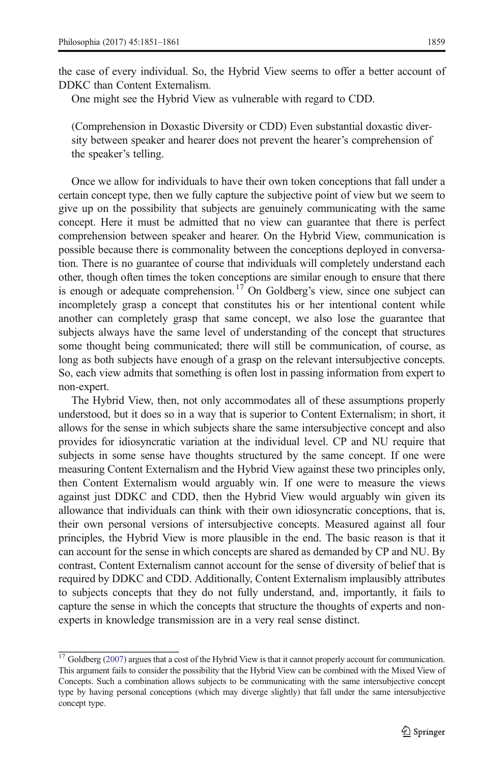the case of every individual. So, the Hybrid View seems to offer a better account of DDKC than Content Externalism.

One might see the Hybrid View as vulnerable with regard to CDD.

(Comprehension in Doxastic Diversity or CDD) Even substantial doxastic diversity between speaker and hearer does not prevent the hearer's comprehension of the speaker's telling.

Once we allow for individuals to have their own token conceptions that fall under a certain concept type, then we fully capture the subjective point of view but we seem to give up on the possibility that subjects are genuinely communicating with the same concept. Here it must be admitted that no view can guarantee that there is perfect comprehension between speaker and hearer. On the Hybrid View, communication is possible because there is commonality between the conceptions deployed in conversation. There is no guarantee of course that individuals will completely understand each other, though often times the token conceptions are similar enough to ensure that there is enough or adequate comprehension.<sup>17</sup> On Goldberg's view, since one subject can incompletely grasp a concept that constitutes his or her intentional content while another can completely grasp that same concept, we also lose the guarantee that subjects always have the same level of understanding of the concept that structures some thought being communicated; there will still be communication, of course, as long as both subjects have enough of a grasp on the relevant intersubjective concepts. So, each view admits that something is often lost in passing information from expert to non-expert.

The Hybrid View, then, not only accommodates all of these assumptions properly understood, but it does so in a way that is superior to Content Externalism; in short, it allows for the sense in which subjects share the same intersubjective concept and also provides for idiosyncratic variation at the individual level. CP and NU require that subjects in some sense have thoughts structured by the same concept. If one were measuring Content Externalism and the Hybrid View against these two principles only, then Content Externalism would arguably win. If one were to measure the views against just DDKC and CDD, then the Hybrid View would arguably win given its allowance that individuals can think with their own idiosyncratic conceptions, that is, their own personal versions of intersubjective concepts. Measured against all four principles, the Hybrid View is more plausible in the end. The basic reason is that it can account for the sense in which concepts are shared as demanded by CP and NU. By contrast, Content Externalism cannot account for the sense of diversity of belief that is required by DDKC and CDD. Additionally, Content Externalism implausibly attributes to subjects concepts that they do not fully understand, and, importantly, it fails to capture the sense in which the concepts that structure the thoughts of experts and nonexperts in knowledge transmission are in a very real sense distinct.

 $17$  Goldberg [\(2007\)](#page-10-0) argues that a cost of the Hybrid View is that it cannot properly account for communication. This argument fails to consider the possibility that the Hybrid View can be combined with the Mixed View of Concepts. Such a combination allows subjects to be communicating with the same intersubjective concept type by having personal conceptions (which may diverge slightly) that fall under the same intersubjective concept type.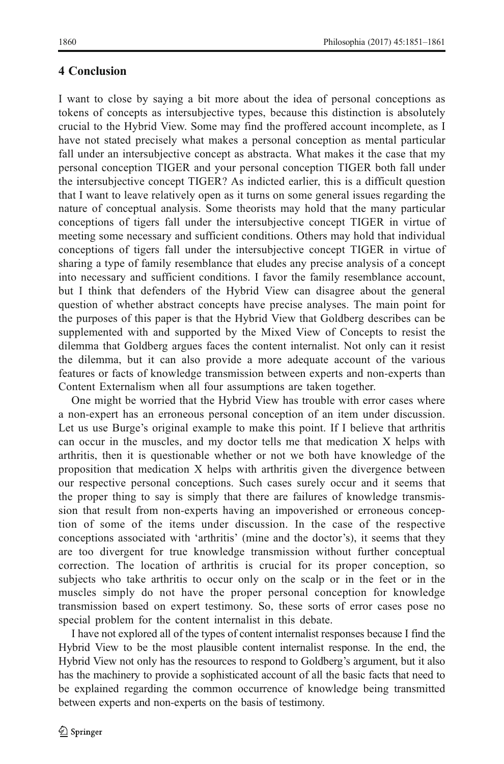## <span id="page-9-0"></span>4 Conclusion

I want to close by saying a bit more about the idea of personal conceptions as tokens of concepts as intersubjective types, because this distinction is absolutely crucial to the Hybrid View. Some may find the proffered account incomplete, as I have not stated precisely what makes a personal conception as mental particular fall under an intersubjective concept as abstracta. What makes it the case that my personal conception TIGER and your personal conception TIGER both fall under the intersubjective concept TIGER? As indicted earlier, this is a difficult question that I want to leave relatively open as it turns on some general issues regarding the nature of conceptual analysis. Some theorists may hold that the many particular conceptions of tigers fall under the intersubjective concept TIGER in virtue of meeting some necessary and sufficient conditions. Others may hold that individual conceptions of tigers fall under the intersubjective concept TIGER in virtue of sharing a type of family resemblance that eludes any precise analysis of a concept into necessary and sufficient conditions. I favor the family resemblance account, but I think that defenders of the Hybrid View can disagree about the general question of whether abstract concepts have precise analyses. The main point for the purposes of this paper is that the Hybrid View that Goldberg describes can be supplemented with and supported by the Mixed View of Concepts to resist the dilemma that Goldberg argues faces the content internalist. Not only can it resist the dilemma, but it can also provide a more adequate account of the various features or facts of knowledge transmission between experts and non-experts than Content Externalism when all four assumptions are taken together.

One might be worried that the Hybrid View has trouble with error cases where a non-expert has an erroneous personal conception of an item under discussion. Let us use Burge's original example to make this point. If I believe that arthritis can occur in the muscles, and my doctor tells me that medication X helps with arthritis, then it is questionable whether or not we both have knowledge of the proposition that medication X helps with arthritis given the divergence between our respective personal conceptions. Such cases surely occur and it seems that the proper thing to say is simply that there are failures of knowledge transmission that result from non-experts having an impoverished or erroneous conception of some of the items under discussion. In the case of the respective conceptions associated with 'arthritis' (mine and the doctor's), it seems that they are too divergent for true knowledge transmission without further conceptual correction. The location of arthritis is crucial for its proper conception, so subjects who take arthritis to occur only on the scalp or in the feet or in the muscles simply do not have the proper personal conception for knowledge transmission based on expert testimony. So, these sorts of error cases pose no special problem for the content internalist in this debate.

I have not explored all of the types of content internalist responses because I find the Hybrid View to be the most plausible content internalist response. In the end, the Hybrid View not only has the resources to respond to Goldberg's argument, but it also has the machinery to provide a sophisticated account of all the basic facts that need to be explained regarding the common occurrence of knowledge being transmitted between experts and non-experts on the basis of testimony.